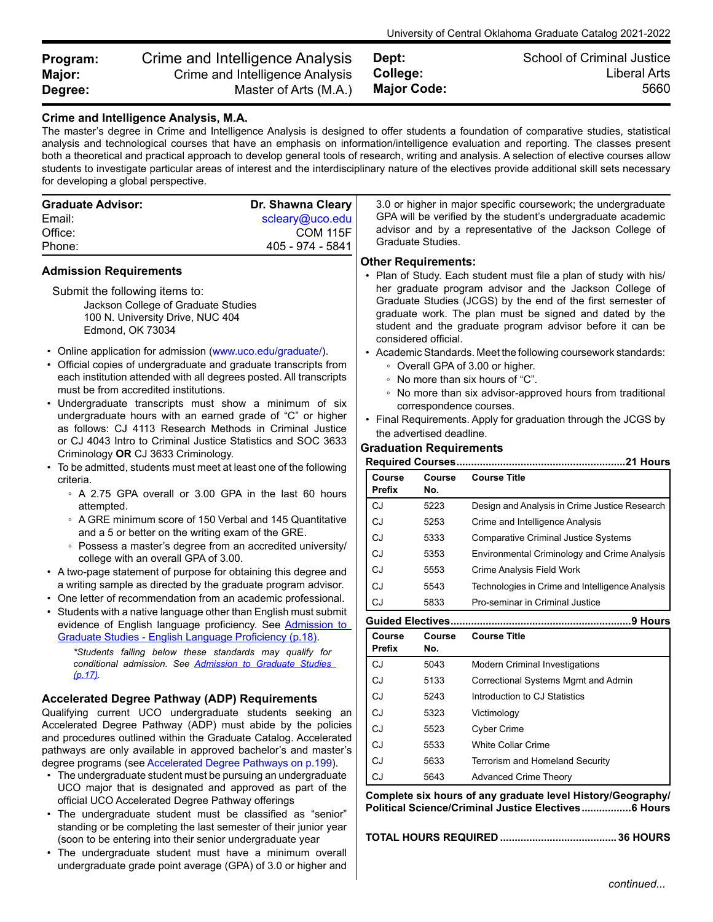| Program: | Crime and Intelligence Analysis | Dept:              | <b>School of Criminal Justice</b> |
|----------|---------------------------------|--------------------|-----------------------------------|
| Major:   | Crime and Intelligence Analysis | College:           | Liberal Arts                      |
| Degree:  | Master of Arts (M.A.)           | <b>Major Code:</b> | 5660                              |

## **Crime and Intelligence Analysis, M.A.**

The master's degree in Crime and Intelligence Analysis is designed to offer students a foundation of comparative studies, statistical analysis and technological courses that have an emphasis on information/intelligence evaluation and reporting. The classes present both a theoretical and practical approach to develop general tools of research, writing and analysis. A selection of elective courses allow students to investigate particular areas of interest and the interdisciplinary nature of the electives provide additional skill sets necessary for developing a global perspective.

| <b>Graduate Advisor:</b><br>Email:<br>Office:<br>Phone:                                                                                                                                                                                                                                                                                                                                                                                                                                                                                                                                             | Dr. Shawna Cleary<br>scleary@uco.edu<br><b>COM 115F</b><br>405 - 974 - 5841                                                                                                                                                                                                                                                                                                                                                                                                                                                                                                                                                                                                    |        | Graduate Studies.                                                                                                   | 3.0 or higher in major specific coursework; the undergraduate<br>GPA will be verified by the student's undergraduate academic<br>advisor and by a representative of the Jackson College of |  |
|-----------------------------------------------------------------------------------------------------------------------------------------------------------------------------------------------------------------------------------------------------------------------------------------------------------------------------------------------------------------------------------------------------------------------------------------------------------------------------------------------------------------------------------------------------------------------------------------------------|--------------------------------------------------------------------------------------------------------------------------------------------------------------------------------------------------------------------------------------------------------------------------------------------------------------------------------------------------------------------------------------------------------------------------------------------------------------------------------------------------------------------------------------------------------------------------------------------------------------------------------------------------------------------------------|--------|---------------------------------------------------------------------------------------------------------------------|--------------------------------------------------------------------------------------------------------------------------------------------------------------------------------------------|--|
| <b>Admission Requirements</b><br>Submit the following items to:<br>Jackson College of Graduate Studies<br>100 N. University Drive, NUC 404<br>Edmond, OK 73034<br>• Online application for admission (www.uco.edu/graduate/).<br>• Official copies of undergraduate and graduate transcripts from<br>each institution attended with all degrees posted. All transcripts<br>must be from accredited institutions.<br>• Undergraduate transcripts must show a minimum of six<br>undergraduate hours with an earned grade of "C" or higher<br>as follows: CJ 4113 Research Methods in Criminal Justice | <b>Other Requirements:</b><br>• Plan of Study. Each student must file a plan of study with his/<br>her graduate program advisor and the Jackson College of<br>Graduate Studies (JCGS) by the end of the first semester of<br>graduate work. The plan must be signed and dated by the<br>student and the graduate program advisor before it can be<br>considered official.<br>• Academic Standards. Meet the following coursework standards:<br>• Overall GPA of 3.00 or higher.<br>• No more than six hours of "C".<br>• No more than six advisor-approved hours from traditional<br>correspondence courses.<br>• Final Requirements. Apply for graduation through the JCGS by |        |                                                                                                                     |                                                                                                                                                                                            |  |
| or CJ 4043 Intro to Criminal Justice Statistics and SOC 3633                                                                                                                                                                                                                                                                                                                                                                                                                                                                                                                                        | the advertised deadline.<br><b>Graduation Requirements</b>                                                                                                                                                                                                                                                                                                                                                                                                                                                                                                                                                                                                                     |        |                                                                                                                     |                                                                                                                                                                                            |  |
| Criminology OR CJ 3633 Criminology.<br>• To be admitted, students must meet at least one of the following                                                                                                                                                                                                                                                                                                                                                                                                                                                                                           |                                                                                                                                                                                                                                                                                                                                                                                                                                                                                                                                                                                                                                                                                |        |                                                                                                                     |                                                                                                                                                                                            |  |
| criteria.                                                                                                                                                                                                                                                                                                                                                                                                                                                                                                                                                                                           |                                                                                                                                                                                                                                                                                                                                                                                                                                                                                                                                                                                                                                                                                | Course | Course                                                                                                              | <b>Course Title</b>                                                                                                                                                                        |  |
| • A 2.75 GPA overall or 3.00 GPA in the last 60 hours                                                                                                                                                                                                                                                                                                                                                                                                                                                                                                                                               |                                                                                                                                                                                                                                                                                                                                                                                                                                                                                                                                                                                                                                                                                | Prefix | No.                                                                                                                 |                                                                                                                                                                                            |  |
| attempted.                                                                                                                                                                                                                                                                                                                                                                                                                                                                                                                                                                                          |                                                                                                                                                                                                                                                                                                                                                                                                                                                                                                                                                                                                                                                                                | CJ     | 5223                                                                                                                | Design and Analysis in Crime Justice Research                                                                                                                                              |  |
| • A GRE minimum score of 150 Verbal and 145 Quantitative<br>and a 5 or better on the writing exam of the GRE.                                                                                                                                                                                                                                                                                                                                                                                                                                                                                       |                                                                                                                                                                                                                                                                                                                                                                                                                                                                                                                                                                                                                                                                                | CJ     | 5253                                                                                                                | Crime and Intelligence Analysis                                                                                                                                                            |  |
| • Possess a master's degree from an accredited university/                                                                                                                                                                                                                                                                                                                                                                                                                                                                                                                                          |                                                                                                                                                                                                                                                                                                                                                                                                                                                                                                                                                                                                                                                                                | CJ     | 5333                                                                                                                | <b>Comparative Criminal Justice Systems</b>                                                                                                                                                |  |
| college with an overall GPA of 3.00.                                                                                                                                                                                                                                                                                                                                                                                                                                                                                                                                                                |                                                                                                                                                                                                                                                                                                                                                                                                                                                                                                                                                                                                                                                                                | CJ     | 5353                                                                                                                | Environmental Criminology and Crime Analysis                                                                                                                                               |  |
| • A two-page statement of purpose for obtaining this degree and                                                                                                                                                                                                                                                                                                                                                                                                                                                                                                                                     | CJ                                                                                                                                                                                                                                                                                                                                                                                                                                                                                                                                                                                                                                                                             | 5553   | Crime Analysis Field Work                                                                                           |                                                                                                                                                                                            |  |
| a writing sample as directed by the graduate program advisor.                                                                                                                                                                                                                                                                                                                                                                                                                                                                                                                                       |                                                                                                                                                                                                                                                                                                                                                                                                                                                                                                                                                                                                                                                                                | CJ     | 5543                                                                                                                | Technologies in Crime and Intelligence Analysis                                                                                                                                            |  |
| • One letter of recommendation from an academic professional.                                                                                                                                                                                                                                                                                                                                                                                                                                                                                                                                       |                                                                                                                                                                                                                                                                                                                                                                                                                                                                                                                                                                                                                                                                                | CJ     | 5833                                                                                                                | Pro-seminar in Criminal Justice                                                                                                                                                            |  |
| • Students with a native language other than English must submit<br>evidence of English language proficiency. See Admission to                                                                                                                                                                                                                                                                                                                                                                                                                                                                      |                                                                                                                                                                                                                                                                                                                                                                                                                                                                                                                                                                                                                                                                                |        |                                                                                                                     |                                                                                                                                                                                            |  |
| Graduate Studies - English Language Proficiency (p.18).                                                                                                                                                                                                                                                                                                                                                                                                                                                                                                                                             |                                                                                                                                                                                                                                                                                                                                                                                                                                                                                                                                                                                                                                                                                | Course | Course                                                                                                              | <b>Course Title</b>                                                                                                                                                                        |  |
| *Students falling below these standards may qualify for                                                                                                                                                                                                                                                                                                                                                                                                                                                                                                                                             |                                                                                                                                                                                                                                                                                                                                                                                                                                                                                                                                                                                                                                                                                | Prefix | No.                                                                                                                 |                                                                                                                                                                                            |  |
| conditional admission. See Admission to Graduate Studies                                                                                                                                                                                                                                                                                                                                                                                                                                                                                                                                            |                                                                                                                                                                                                                                                                                                                                                                                                                                                                                                                                                                                                                                                                                | CJ     | 5043                                                                                                                | Modern Criminal Investigations                                                                                                                                                             |  |
| (p.17)                                                                                                                                                                                                                                                                                                                                                                                                                                                                                                                                                                                              |                                                                                                                                                                                                                                                                                                                                                                                                                                                                                                                                                                                                                                                                                | CJ     | 5133                                                                                                                | Correctional Systems Mgmt and Admin                                                                                                                                                        |  |
| <b>Accelerated Degree Pathway (ADP) Requirements</b>                                                                                                                                                                                                                                                                                                                                                                                                                                                                                                                                                |                                                                                                                                                                                                                                                                                                                                                                                                                                                                                                                                                                                                                                                                                | CJ     | 5243                                                                                                                | Introduction to CJ Statistics                                                                                                                                                              |  |
| Qualifying current UCO undergraduate students seeking an                                                                                                                                                                                                                                                                                                                                                                                                                                                                                                                                            |                                                                                                                                                                                                                                                                                                                                                                                                                                                                                                                                                                                                                                                                                | CJ     | 5323                                                                                                                | Victimology                                                                                                                                                                                |  |
| Accelerated Degree Pathway (ADP) must abide by the policies                                                                                                                                                                                                                                                                                                                                                                                                                                                                                                                                         |                                                                                                                                                                                                                                                                                                                                                                                                                                                                                                                                                                                                                                                                                | CJ     | 5523                                                                                                                | <b>Cyber Crime</b>                                                                                                                                                                         |  |
| and procedures outlined within the Graduate Catalog. Accelerated                                                                                                                                                                                                                                                                                                                                                                                                                                                                                                                                    | CJ                                                                                                                                                                                                                                                                                                                                                                                                                                                                                                                                                                                                                                                                             | 5533   | White Collar Crime                                                                                                  |                                                                                                                                                                                            |  |
| pathways are only available in approved bachelor's and master's                                                                                                                                                                                                                                                                                                                                                                                                                                                                                                                                     |                                                                                                                                                                                                                                                                                                                                                                                                                                                                                                                                                                                                                                                                                | CJ     | 5633                                                                                                                | Terrorism and Homeland Security                                                                                                                                                            |  |
| degree programs (see Accelerated Degree Pathways on p.199).<br>• The undergraduate student must be pursuing an undergraduate                                                                                                                                                                                                                                                                                                                                                                                                                                                                        | CJ                                                                                                                                                                                                                                                                                                                                                                                                                                                                                                                                                                                                                                                                             | 5643   | <b>Advanced Crime Theory</b>                                                                                        |                                                                                                                                                                                            |  |
| UCO major that is designated and approved as part of the<br>official UCO Accelerated Degree Pathway offerings<br>• The undergraduate student must be classified as "senior"<br>standing or be completing the last semester of their junior year<br>(soon to be entering into their senior undergraduate year<br>• The undergraduate student must have a minimum overall<br>undergraduate grade point average (GPA) of 3.0 or higher and                                                                                                                                                             |                                                                                                                                                                                                                                                                                                                                                                                                                                                                                                                                                                                                                                                                                |        | Complete six hours of any graduate level History/Geography/<br>Political Science/Criminal Justice Electives 6 Hours |                                                                                                                                                                                            |  |